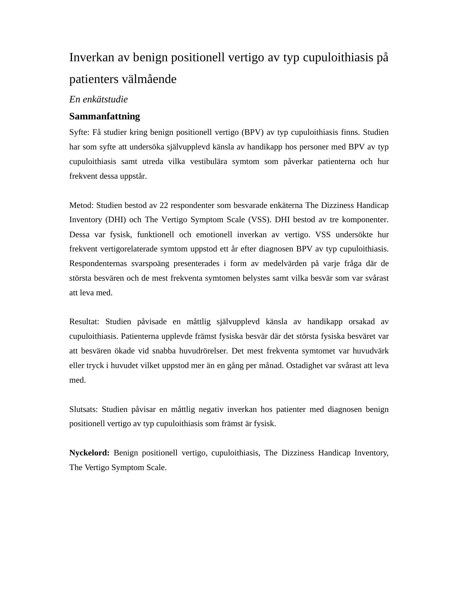# Inverkan av benign positionell vertigo av typ cupuloithiasis på patienters välmående

### *En enkätstudie*

## **Sammanfattning**

Syfte: Få studier kring benign positionell vertigo (BPV) av typ cupuloithiasis finns. Studien har som syfte att undersöka självupplevd känsla av handikapp hos personer med BPV av typ cupuloithiasis samt utreda vilka vestibulära symtom som påverkar patienterna och hur frekvent dessa uppstår.

Metod: Studien bestod av 22 respondenter som besvarade enkäterna The Dizziness Handicap Inventory (DHI) och The Vertigo Symptom Scale (VSS). DHI bestod av tre komponenter. Dessa var fysisk, funktionell och emotionell inverkan av vertigo. VSS undersökte hur frekvent vertigorelaterade symtom uppstod ett år efter diagnosen BPV av typ cupuloithiasis. Respondenternas svarspoäng presenterades i form av medelvärden på varje fråga där de största besvären och de mest frekventa symtomen belystes samt vilka besvär som var svårast att leva med.

Resultat: Studien påvisade en måttlig självupplevd känsla av handikapp orsakad av cupuloithiasis. Patienterna upplevde främst fysiska besvär där det största fysiska besväret var att besvären ökade vid snabba huvudrörelser. Det mest frekventa symtomet var huvudvärk eller tryck i huvudet vilket uppstod mer än en gång per månad. Ostadighet var svårast att leva med.

Slutsats: Studien påvisar en måttlig negativ inverkan hos patienter med diagnosen benign positionell vertigo av typ cupuloithiasis som främst är fysisk.

**Nyckelord:** Benign positionell vertigo, cupuloithiasis, The Dizziness Handicap Inventory, The Vertigo Symptom Scale.